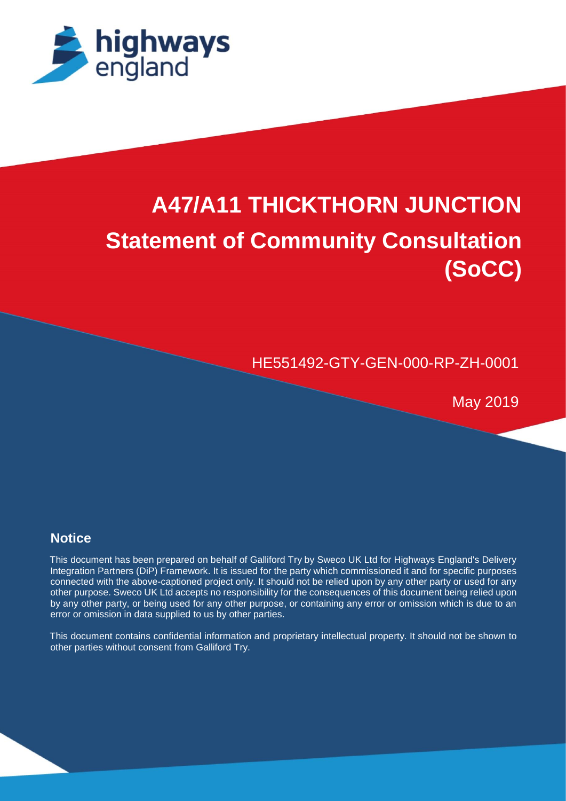

# **A47/A11 THICKTHORN JUNCTION Statement of Community Consultation (SoCC)**

HE551492-GTY-GEN-000-RP-ZH-0001

May 2019

## **Notice**

Report (April 2019)

This document has been prepared on behalf of Galliford Try by Sweco UK Ltd for Highways England's Delivery Integration Partners (DiP) Framework. It is issued for the party which commissioned it and for specific purposes connected with the above-captioned project only. It should not be relied upon by any other party or used for any other purpose. Sweco UK Ltd accepts no responsibility for the consequences of this document being relied upon by any other party, or being used for any other purpose, or containing any error or omission which is due to an error or omission in data supplied to us by other parties.

This document contains confidential information and proprietary intellectual property. It should not be shown to other parties without consent from Galliford Try.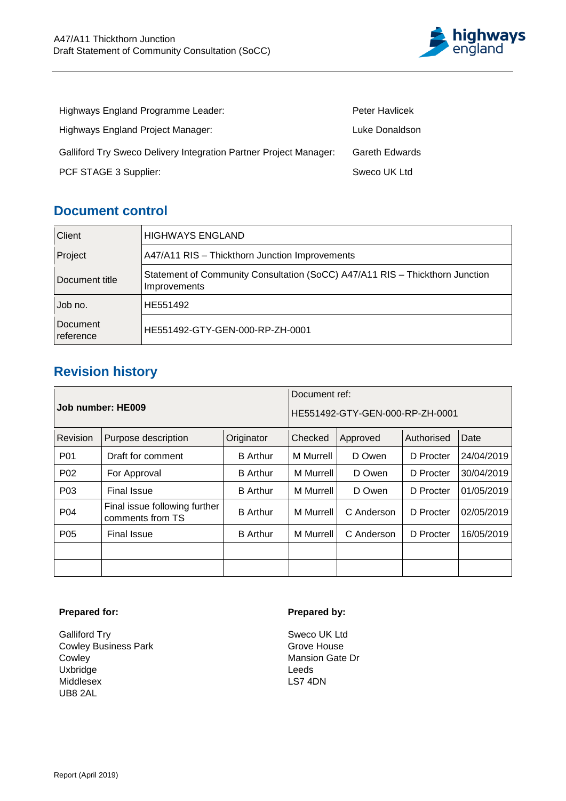

| Highways England Programme Leader:                                | <b>Peter Havlicek</b> |
|-------------------------------------------------------------------|-----------------------|
| Highways England Project Manager:                                 | Luke Donaldson        |
| Galliford Try Sweco Delivery Integration Partner Project Manager: | <b>Gareth Edwards</b> |
| PCF STAGE 3 Supplier:                                             | Sweco UK Ltd          |

## **Document control**

| Client                | <b>HIGHWAYS ENGLAND</b>                                                                      |
|-----------------------|----------------------------------------------------------------------------------------------|
| Project               | A47/A11 RIS - Thickthorn Junction Improvements                                               |
| Document title        | Statement of Community Consultation (SoCC) A47/A11 RIS - Thickthorn Junction<br>Improvements |
| Job no.               | HE551492                                                                                     |
| Document<br>reference | HE551492-GTY-GEN-000-RP-ZH-0001                                                              |

## **Revision history**

|                   |                                                   | Document ref:                   |                  |            |            |            |
|-------------------|---------------------------------------------------|---------------------------------|------------------|------------|------------|------------|
| Job number: HE009 |                                                   | HE551492-GTY-GEN-000-RP-ZH-0001 |                  |            |            |            |
| Revision          | Purpose description                               | Originator                      | Checked          | Approved   | Authorised | Date       |
| P01               | Draft for comment                                 | <b>B</b> Arthur                 | M Murrell        | D Owen     | D Procter  | 24/04/2019 |
| P <sub>02</sub>   | For Approval                                      | <b>B</b> Arthur                 | M Murrell        | D Owen     | D Procter  | 30/04/2019 |
| P <sub>0</sub> 3  | <b>Final Issue</b>                                | <b>B</b> Arthur                 | M Murrell        | D Owen     | D Procter  | 01/05/2019 |
| P04               | Final issue following further<br>comments from TS | <b>B</b> Arthur                 | <b>M</b> Murrell | C Anderson | D Procter  | 02/05/2019 |
| P <sub>05</sub>   | <b>Final Issue</b>                                | <b>B</b> Arthur                 | <b>M</b> Murrell | C Anderson | D Procter  | 16/05/2019 |
|                   |                                                   |                                 |                  |            |            |            |
|                   |                                                   |                                 |                  |            |            |            |

#### **Prepared for:**

Galliford Try Cowley Business Park Cowley Uxbridge Middlesex UB8 2AL

#### **Prepared by:**

Sweco UK Ltd Grove House Mansion Gate Dr Leeds LS7 4DN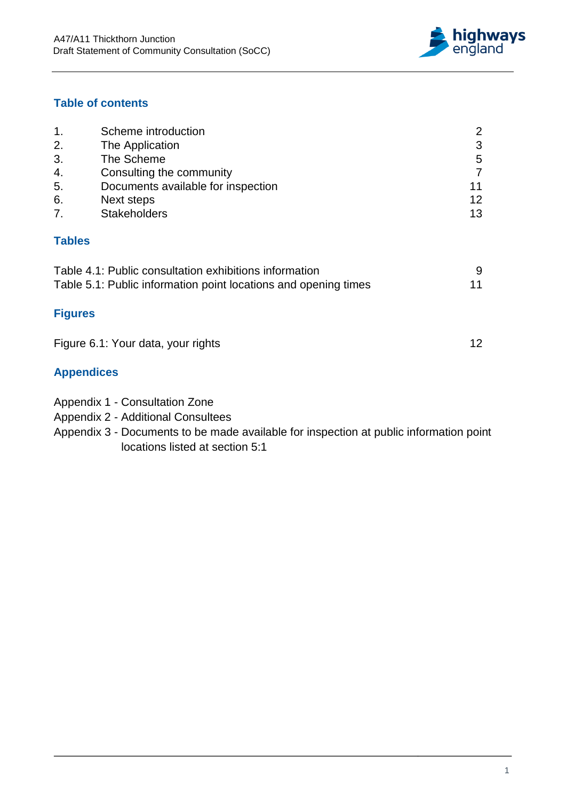

### **Table of contents**

| 1.             | Scheme introduction                |    |
|----------------|------------------------------------|----|
| 2.             | The Application                    | 3  |
| 3.             | The Scheme                         | 5  |
| 4.             | Consulting the community           |    |
| 5.             | Documents available for inspection | 11 |
| 6.             | Next steps                         | 12 |
| 7 <sub>1</sub> | <b>Stakeholders</b>                | 13 |
|                |                                    |    |

### **Tables**

| Table 4.1: Public consultation exhibitions information          |    |
|-----------------------------------------------------------------|----|
| Table 5.1: Public information point locations and opening times | 11 |

## **Figures**

| Figure 6.1: Your data, your rights |  |  |
|------------------------------------|--|--|
|------------------------------------|--|--|

## **Appendices**

- Appendix 1 Consultation Zone
- Appendix 2 Additional Consultees
- Appendix 3 Documents to be made available for inspection at public information point locations listed at section 5:1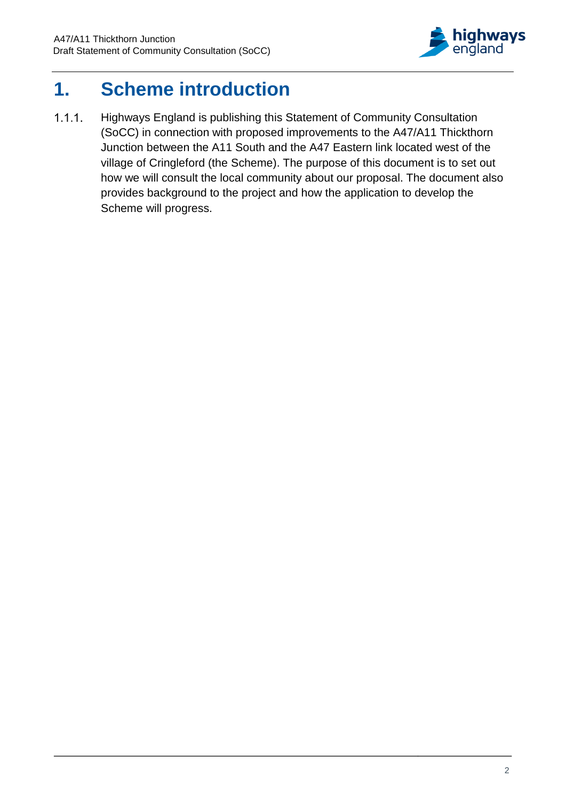

## <span id="page-3-0"></span>**1. Scheme introduction**

Highways England is publishing this Statement of Community Consultation  $1.1.1.$ (SoCC) in connection with proposed improvements to the A47/A11 Thickthorn Junction between the A11 South and the A47 Eastern link located west of the village of Cringleford (the Scheme). The purpose of this document is to set out how we will consult the local community about our proposal. The document also provides background to the project and how the application to develop the Scheme will progress.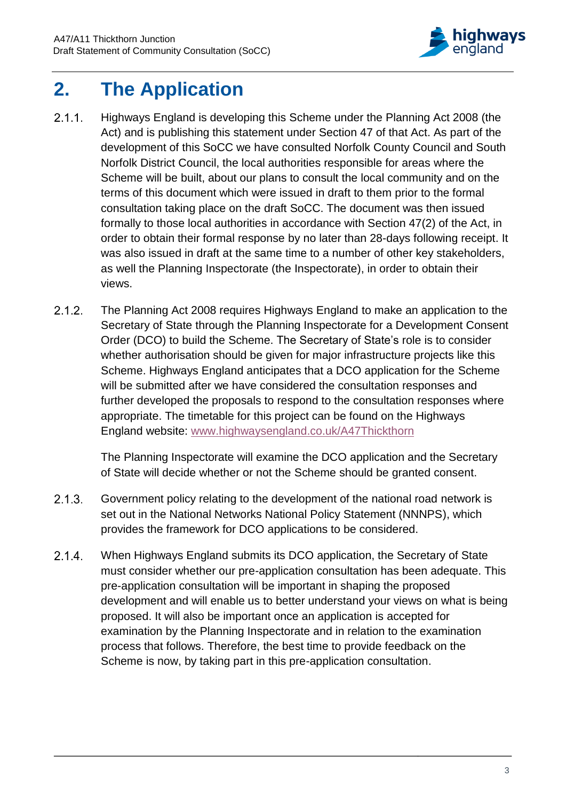

## <span id="page-4-0"></span>**2. The Application**

- $2.1.1.$ Highways England is developing this Scheme under the Planning Act 2008 (the Act) and is publishing this statement under Section 47 of that Act. As part of the development of this SoCC we have consulted Norfolk County Council and South Norfolk District Council, the local authorities responsible for areas where the Scheme will be built, about our plans to consult the local community and on the terms of this document which were issued in draft to them prior to the formal consultation taking place on the draft SoCC. The document was then issued formally to those local authorities in accordance with Section 47(2) of the Act, in order to obtain their formal response by no later than 28-days following receipt. It was also issued in draft at the same time to a number of other key stakeholders, as well the Planning Inspectorate (the Inspectorate), in order to obtain their views.
- $2.1.2.$ The Planning Act 2008 requires Highways England to make an application to the Secretary of State through the Planning Inspectorate for a Development Consent Order (DCO) to build the Scheme. The Secretary of State's role is to consider whether authorisation should be given for major infrastructure projects like this Scheme. Highways England anticipates that a DCO application for the Scheme will be submitted after we have considered the consultation responses and further developed the proposals to respond to the consultation responses where appropriate. The timetable for this project can be found on the Highways England website: [www.highwaysengland.co.uk/A47Thickthorn](http://www.highwaysengland.co.uk/A47Thickthorn)

The Planning Inspectorate will examine the DCO application and the Secretary of State will decide whether or not the Scheme should be granted consent.

- $2.1.3.$ Government policy relating to the development of the national road network is set out in the National Networks National Policy Statement (NNNPS), which provides the framework for DCO applications to be considered.
- $2.1.4.$ When Highways England submits its DCO application, the Secretary of State must consider whether our pre-application consultation has been adequate. This pre-application consultation will be important in shaping the proposed development and will enable us to better understand your views on what is being proposed. It will also be important once an application is accepted for examination by the Planning Inspectorate and in relation to the examination process that follows. Therefore, the best time to provide feedback on the Scheme is now, by taking part in this pre-application consultation.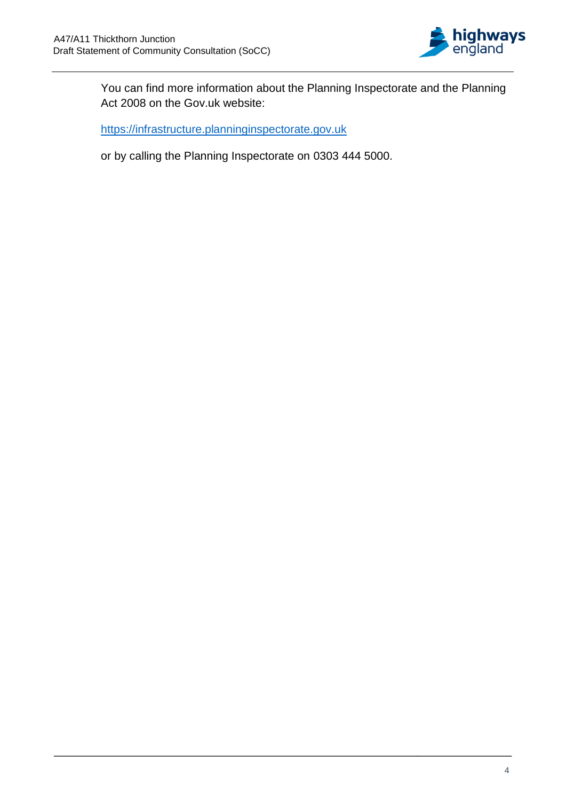

You can find more information about the Planning Inspectorate and the Planning Act 2008 on the Gov.uk website:

[https://infrastructure.planninginspectorate.gov.uk](https://infrastructure.planninginspectorate.gov.uk/)

or by calling the Planning Inspectorate on 0303 444 5000.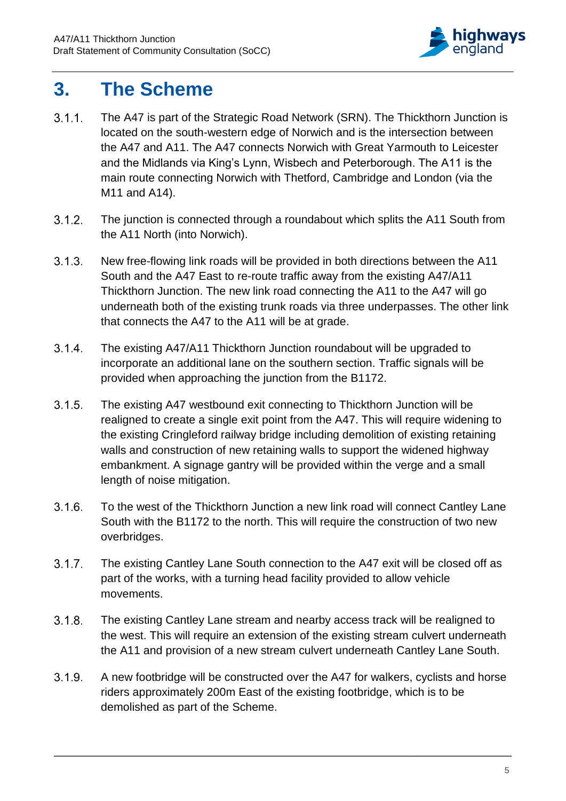

## <span id="page-6-0"></span>**3. The Scheme**

- $3.1.1.$ The A47 is part of the Strategic Road Network (SRN). The Thickthorn Junction is located on the south-western edge of Norwich and is the intersection between the A47 and A11. The A47 connects Norwich with Great Yarmouth to Leicester and the Midlands via King's Lynn, Wisbech and Peterborough. The A11 is the main route connecting Norwich with Thetford, Cambridge and London (via the M11 and A14).
- The junction is connected through a roundabout which splits the A11 South from  $3.1.2.$ the A11 North (into Norwich).
- $3.1.3.$ New free-flowing link roads will be provided in both directions between the A11 South and the A47 East to re-route traffic away from the existing A47/A11 Thickthorn Junction. The new link road connecting the A11 to the A47 will go underneath both of the existing trunk roads via three underpasses. The other link that connects the A47 to the A11 will be at grade.
- $3.1.4.$ The existing A47/A11 Thickthorn Junction roundabout will be upgraded to incorporate an additional lane on the southern section. Traffic signals will be provided when approaching the junction from the B1172.
- $3.1.5.$ The existing A47 westbound exit connecting to Thickthorn Junction will be realigned to create a single exit point from the A47. This will require widening to the existing Cringleford railway bridge including demolition of existing retaining walls and construction of new retaining walls to support the widened highway embankment. A signage gantry will be provided within the verge and a small length of noise mitigation.
- $3.1.6.$ To the west of the Thickthorn Junction a new link road will connect Cantley Lane South with the B1172 to the north. This will require the construction of two new overbridges.
- $3.1.7.$ The existing Cantley Lane South connection to the A47 exit will be closed off as part of the works, with a turning head facility provided to allow vehicle movements.
- $3.1.8.$ The existing Cantley Lane stream and nearby access track will be realigned to the west. This will require an extension of the existing stream culvert underneath the A11 and provision of a new stream culvert underneath Cantley Lane South.
- $3.1.9.$ A new footbridge will be constructed over the A47 for walkers, cyclists and horse riders approximately 200m East of the existing footbridge, which is to be demolished as part of the Scheme.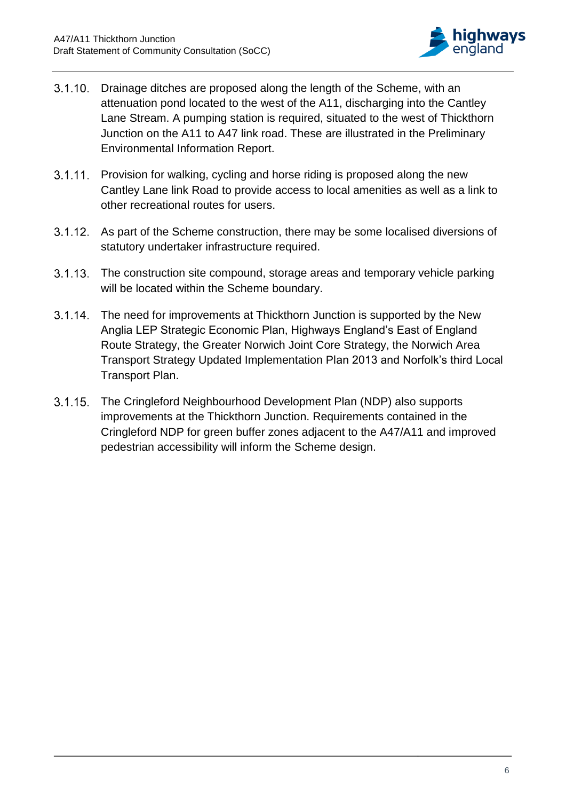

- 3.1.10. Drainage ditches are proposed along the length of the Scheme, with an attenuation pond located to the west of the A11, discharging into the Cantley Lane Stream. A pumping station is required, situated to the west of Thickthorn Junction on the A11 to A47 link road. These are illustrated in the Preliminary Environmental Information Report.
- 3.1.11. Provision for walking, cycling and horse riding is proposed along the new Cantley Lane link Road to provide access to local amenities as well as a link to other recreational routes for users.
- As part of the Scheme construction, there may be some localised diversions of statutory undertaker infrastructure required.
- 3.1.13. The construction site compound, storage areas and temporary vehicle parking will be located within the Scheme boundary.
- 3.1.14. The need for improvements at Thickthorn Junction is supported by the New Anglia LEP Strategic Economic Plan, Highways England's East of England Route Strategy, the Greater Norwich Joint Core Strategy, the Norwich Area Transport Strategy Updated Implementation Plan 2013 and Norfolk's third Local Transport Plan.
- $3.1.15$ The Cringleford Neighbourhood Development Plan (NDP) also supports improvements at the Thickthorn Junction. Requirements contained in the Cringleford NDP for green buffer zones adjacent to the A47/A11 and improved pedestrian accessibility will inform the Scheme design.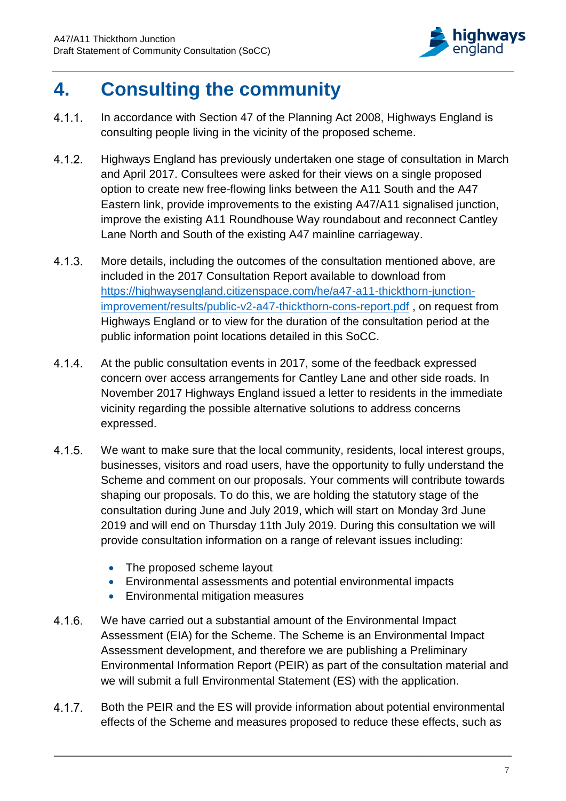

## <span id="page-8-0"></span>**4. Consulting the community**

- $4.1.1.$ In accordance with Section 47 of the Planning Act 2008, Highways England is consulting people living in the vicinity of the proposed scheme.
- $4.1.2.$ Highways England has previously undertaken one stage of consultation in March and April 2017. Consultees were asked for their views on a single proposed option to create new free-flowing links between the A11 South and the A47 Eastern link, provide improvements to the existing A47/A11 signalised junction, improve the existing A11 Roundhouse Way roundabout and reconnect Cantley Lane North and South of the existing A47 mainline carriageway.
- $4.1.3.$ More details, including the outcomes of the consultation mentioned above, are included in the 2017 Consultation Report available to download from [https://highwaysengland.citizenspace.com/he/a47-a11-thickthorn-junction](https://highwaysengland.citizenspace.com/he/a47-a11-thickthorn-junction-improvement/results/public-v2-a47-thickthorn-cons-report.pdf)[improvement/results/public-v2-a47-thickthorn-cons-report.pdf](https://highwaysengland.citizenspace.com/he/a47-a11-thickthorn-junction-improvement/results/public-v2-a47-thickthorn-cons-report.pdf) , on request from Highways England or to view for the duration of the consultation period at the public information point locations detailed in this SoCC.
- $4.1.4.$ At the public consultation events in 2017, some of the feedback expressed concern over access arrangements for Cantley Lane and other side roads. In November 2017 Highways England issued a letter to residents in the immediate vicinity regarding the possible alternative solutions to address concerns expressed.
- $4.1.5.$ We want to make sure that the local community, residents, local interest groups, businesses, visitors and road users, have the opportunity to fully understand the Scheme and comment on our proposals. Your comments will contribute towards shaping our proposals. To do this, we are holding the statutory stage of the consultation during June and July 2019, which will start on Monday 3rd June 2019 and will end on Thursday 11th July 2019. During this consultation we will provide consultation information on a range of relevant issues including:
	- The proposed scheme layout
	- Environmental assessments and potential environmental impacts
	- Environmental mitigation measures
- $4.1.6.$ We have carried out a substantial amount of the Environmental Impact Assessment (EIA) for the Scheme. The Scheme is an Environmental Impact Assessment development, and therefore we are publishing a Preliminary Environmental Information Report (PEIR) as part of the consultation material and we will submit a full Environmental Statement (ES) with the application.
- $4.1.7.$ Both the PEIR and the ES will provide information about potential environmental effects of the Scheme and measures proposed to reduce these effects, such as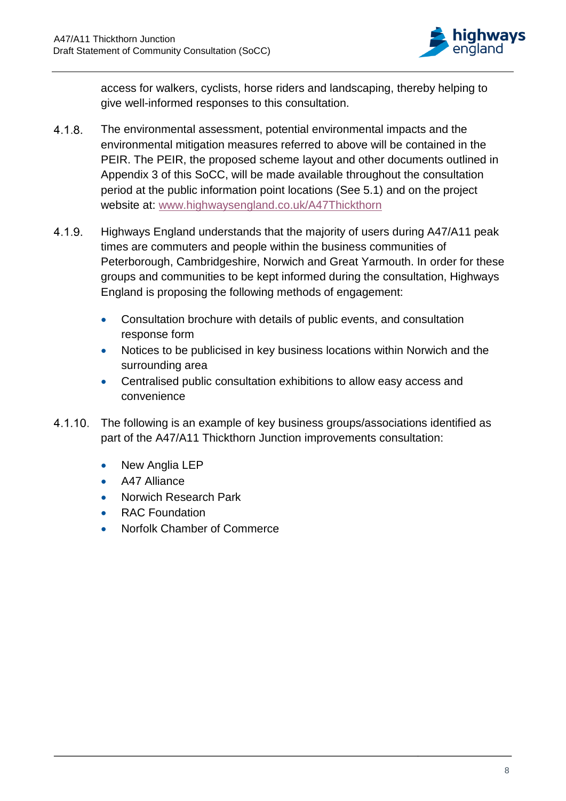

access for walkers, cyclists, horse riders and landscaping, thereby helping to give well-informed responses to this consultation.

- $4.1.8.$ The environmental assessment, potential environmental impacts and the environmental mitigation measures referred to above will be contained in the PEIR. The PEIR, the proposed scheme layout and other documents outlined in Appendix 3 of this SoCC, will be made available throughout the consultation period at the public information point locations (See 5.1) and on the project website at: [www.highwaysengland.co.uk/A47Thickthorn](http://www.highwaysengland.co.uk/A47Thickthorn)
- $4.1.9.$ Highways England understands that the majority of users during A47/A11 peak times are commuters and people within the business communities of Peterborough, Cambridgeshire, Norwich and Great Yarmouth. In order for these groups and communities to be kept informed during the consultation, Highways England is proposing the following methods of engagement:
	- Consultation brochure with details of public events, and consultation response form
	- Notices to be publicised in key business locations within Norwich and the surrounding area
	- Centralised public consultation exhibitions to allow easy access and convenience
- 4.1.10. The following is an example of key business groups/associations identified as part of the A47/A11 Thickthorn Junction improvements consultation:
	- New Anglia LEP
	- A47 Alliance
	- Norwich Research Park
	- RAC Foundation
	- Norfolk Chamber of Commerce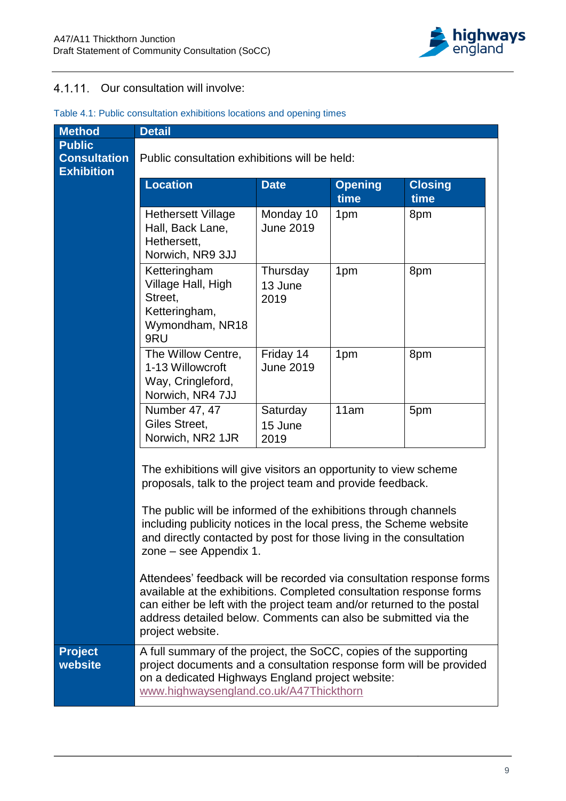

## 4.1.11. Our consultation will involve:

| <b>Method</b>                                             | <b>Detail</b>                                                                                                                                                                                                                                                                                                                                                           |                                               |                        |                        |  |
|-----------------------------------------------------------|-------------------------------------------------------------------------------------------------------------------------------------------------------------------------------------------------------------------------------------------------------------------------------------------------------------------------------------------------------------------------|-----------------------------------------------|------------------------|------------------------|--|
| <b>Public</b><br><b>Consultation</b><br><b>Exhibition</b> |                                                                                                                                                                                                                                                                                                                                                                         | Public consultation exhibitions will be held: |                        |                        |  |
|                                                           | <b>Location</b>                                                                                                                                                                                                                                                                                                                                                         | <b>Date</b>                                   | <b>Opening</b><br>time | <b>Closing</b><br>time |  |
|                                                           | <b>Hethersett Village</b><br>Hall, Back Lane,<br>Hethersett,<br>Norwich, NR9 3JJ                                                                                                                                                                                                                                                                                        | Monday 10<br><b>June 2019</b>                 | 1pm                    | 8pm                    |  |
|                                                           | Ketteringham<br>Village Hall, High<br>Street,<br>Ketteringham,<br>Wymondham, NR18<br>9RU                                                                                                                                                                                                                                                                                | Thursday<br>13 June<br>2019                   | 1pm                    | 8pm                    |  |
|                                                           | The Willow Centre,<br>1-13 Willowcroft<br>Way, Cringleford,<br>Norwich, NR4 7JJ                                                                                                                                                                                                                                                                                         | Friday 14<br><b>June 2019</b>                 | 1pm                    | 8pm                    |  |
|                                                           | Number 47, 47<br>Giles Street,<br>Norwich, NR2 1JR                                                                                                                                                                                                                                                                                                                      | Saturday<br>15 June<br>2019                   | 11am                   | 5pm                    |  |
|                                                           | The exhibitions will give visitors an opportunity to view scheme<br>proposals, talk to the project team and provide feedback.<br>The public will be informed of the exhibitions through channels<br>including publicity notices in the local press, the Scheme website<br>and directly contacted by post for those living in the consultation<br>zone – see Appendix 1. |                                               |                        |                        |  |
|                                                           | Attendees' feedback will be recorded via consultation response forms<br>available at the exhibitions. Completed consultation response forms<br>can either be left with the project team and/or returned to the postal<br>address detailed below. Comments can also be submitted via the<br>project website.                                                             |                                               |                        |                        |  |
| <b>Project</b><br>website                                 | A full summary of the project, the SoCC, copies of the supporting<br>project documents and a consultation response form will be provided<br>on a dedicated Highways England project website:<br>www.highwaysengland.co.uk/A47Thickthorn                                                                                                                                 |                                               |                        |                        |  |

#### Table 4.1: Public consultation exhibitions locations and opening times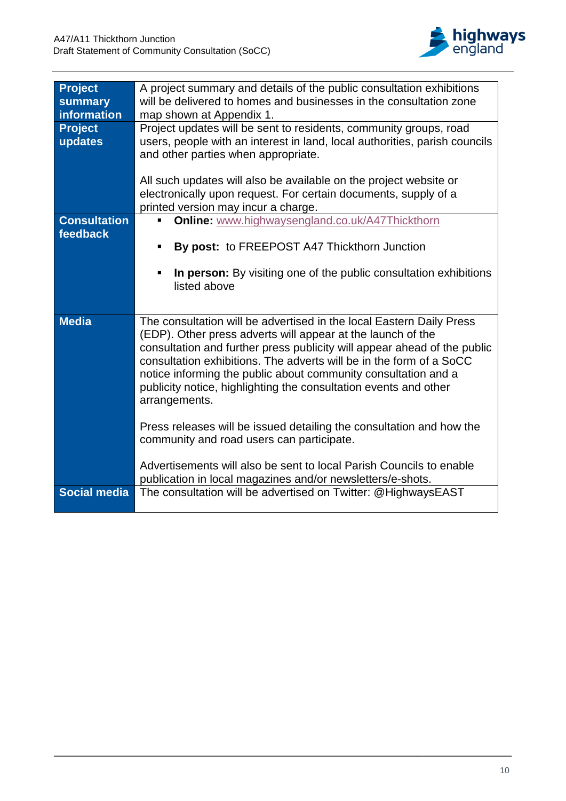

| <b>Project</b><br>summary<br>information | A project summary and details of the public consultation exhibitions<br>will be delivered to homes and businesses in the consultation zone<br>map shown at Appendix 1.                                                                                                                                                                                                                                                                        |
|------------------------------------------|-----------------------------------------------------------------------------------------------------------------------------------------------------------------------------------------------------------------------------------------------------------------------------------------------------------------------------------------------------------------------------------------------------------------------------------------------|
| <b>Project</b><br>updates                | Project updates will be sent to residents, community groups, road<br>users, people with an interest in land, local authorities, parish councils<br>and other parties when appropriate.<br>All such updates will also be available on the project website or                                                                                                                                                                                   |
|                                          | electronically upon request. For certain documents, supply of a<br>printed version may incur a charge.                                                                                                                                                                                                                                                                                                                                        |
| <b>Consultation</b><br>feedback          | Online: www.highwaysengland.co.uk/A47Thickthorn<br>By post: to FREEPOST A47 Thickthorn Junction<br>п<br>In person: By visiting one of the public consultation exhibitions<br>Ξ<br>listed above                                                                                                                                                                                                                                                |
| <b>Media</b>                             | The consultation will be advertised in the local Eastern Daily Press<br>(EDP). Other press adverts will appear at the launch of the<br>consultation and further press publicity will appear ahead of the public<br>consultation exhibitions. The adverts will be in the form of a SoCC<br>notice informing the public about community consultation and a<br>publicity notice, highlighting the consultation events and other<br>arrangements. |
|                                          | Press releases will be issued detailing the consultation and how the<br>community and road users can participate.<br>Advertisements will also be sent to local Parish Councils to enable                                                                                                                                                                                                                                                      |
| <b>Social media</b>                      | publication in local magazines and/or newsletters/e-shots.<br>The consultation will be advertised on Twitter: @HighwaysEAST                                                                                                                                                                                                                                                                                                                   |
|                                          |                                                                                                                                                                                                                                                                                                                                                                                                                                               |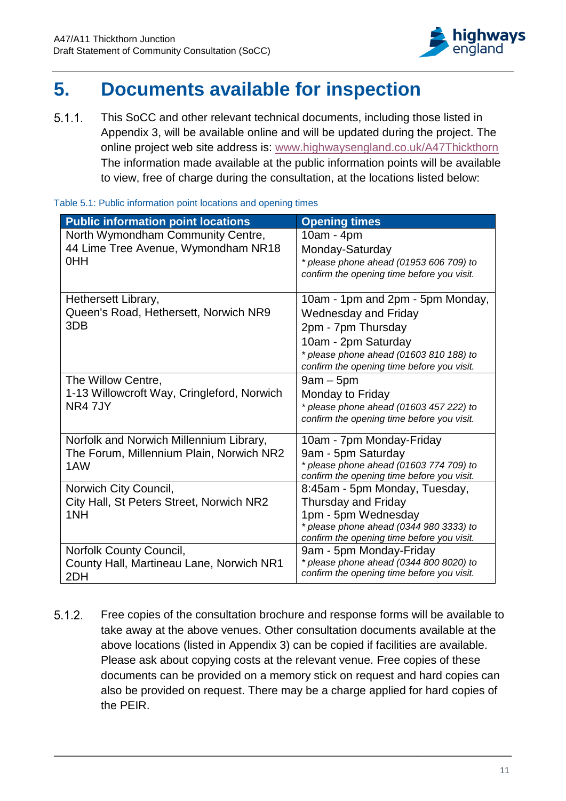

## <span id="page-12-0"></span>**5. Documents available for inspection**

This SoCC and other relevant technical documents, including those listed in  $5.1.1.$ Appendix 3, will be available online and will be updated during the project. The online project web site address is: [www.highwaysengland.co.uk/A47Thickthorn](http://www.highwaysengland.co.uk/A47Thickthorn) The information made available at the public information points will be available to view, free of charge during the consultation, at the locations listed below:

<span id="page-12-1"></span>

|  |  | Table 5.1: Public information point locations and opening times |  |  |  |
|--|--|-----------------------------------------------------------------|--|--|--|
|--|--|-----------------------------------------------------------------|--|--|--|

| <b>Public information point locations</b>                                                  | <b>Opening times</b>                                                                                                                                                                                    |
|--------------------------------------------------------------------------------------------|---------------------------------------------------------------------------------------------------------------------------------------------------------------------------------------------------------|
| North Wymondham Community Centre,<br>44 Lime Tree Avenue, Wymondham NR18<br>0HH            | $10am - 4pm$<br>Monday-Saturday<br>* please phone ahead (01953 606 709) to<br>confirm the opening time before you visit.                                                                                |
| Hethersett Library,<br>Queen's Road, Hethersett, Norwich NR9<br>3DB                        | 10am - 1pm and 2pm - 5pm Monday,<br><b>Wednesday and Friday</b><br>2pm - 7pm Thursday<br>10am - 2pm Saturday<br>$*$ please phone ahead (01603 810 188) to<br>confirm the opening time before you visit. |
| The Willow Centre,<br>1-13 Willowcroft Way, Cringleford, Norwich<br>NR4 7JY                | $9am - 5pm$<br>Monday to Friday<br>$*$ please phone ahead (01603 457 222) to<br>confirm the opening time before you visit.                                                                              |
| Norfolk and Norwich Millennium Library,<br>The Forum, Millennium Plain, Norwich NR2<br>1AW | 10am - 7pm Monday-Friday<br>9am - 5pm Saturday<br>* please phone ahead (01603 774 709) to<br>confirm the opening time before you visit.                                                                 |
| Norwich City Council,<br>City Hall, St Peters Street, Norwich NR2<br>1NH                   | 8:45am - 5pm Monday, Tuesday,<br><b>Thursday and Friday</b><br>1pm - 5pm Wednesday<br>* please phone ahead (0344 980 3333) to<br>confirm the opening time before you visit.                             |
| Norfolk County Council,<br>County Hall, Martineau Lane, Norwich NR1<br>2DH                 | 9am - 5pm Monday-Friday<br>* please phone ahead (0344 800 8020) to<br>confirm the opening time before you visit.                                                                                        |

 $5.1.2.$ Free copies of the consultation brochure and response forms will be available to take away at the above venues. Other consultation documents available at the above locations (listed in Appendix 3) can be copied if facilities are available. Please ask about copying costs at the relevant venue. Free copies of these documents can be provided on a memory stick on request and hard copies can also be provided on request. There may be a charge applied for hard copies of the PEIR.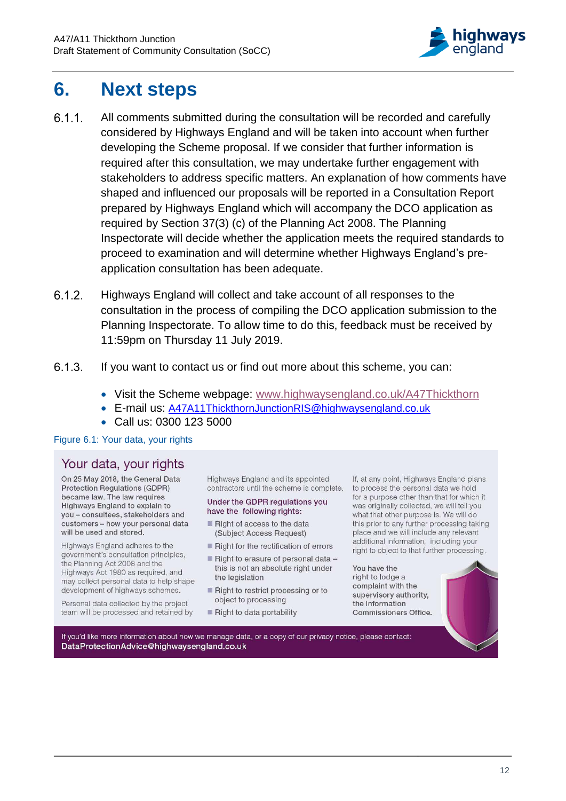

## <span id="page-13-0"></span>**6. Next steps**

- $6.1.1$ All comments submitted during the consultation will be recorded and carefully considered by Highways England and will be taken into account when further developing the Scheme proposal. If we consider that further information is required after this consultation, we may undertake further engagement with stakeholders to address specific matters. An explanation of how comments have shaped and influenced our proposals will be reported in a Consultation Report prepared by Highways England which will accompany the DCO application as required by Section 37(3) (c) of the Planning Act 2008. The Planning Inspectorate will decide whether the application meets the required standards to proceed to examination and will determine whether Highways England's preapplication consultation has been adequate.
- $6.1.2.$ Highways England will collect and take account of all responses to the consultation in the process of compiling the DCO application submission to the Planning Inspectorate. To allow time to do this, feedback must be received by 11:59pm on Thursday 11 July 2019.
- $6.1.3.$ If you want to contact us or find out more about this scheme, you can:
	- Visit the Scheme webpage: [www.highwaysengland.co.uk/A47Thickthorn](http://www.highwaysengland.co.uk/A47Thickthorn)
	- E-mail us: [A47A11ThickthornJunctionRIS@highwaysengland.co.uk](mailto:A47A11ThickthornJunctionRIS@highwaysengland.co.uk)
	- Call us: 0300 123 5000

#### <span id="page-13-1"></span>Figure 6.1: Your data, your rights

### Your data, your rights

On 25 May 2018, the General Data Protection Regulations (GDPR) became law. The law requires Highways England to explain to you - consultees, stakeholders and customers - how your personal data will be used and stored.

Highways England adheres to the government's consultation principles, the Planning Act 2008 and the Highways Act 1980 as required, and may collect personal data to help shape development of highways schemes.

Personal data collected by the project team will be processed and retained by Highways England and its appointed contractors until the scheme is complete.

#### Under the GDPR regulations you have the following rights:

- Right of access to the data (Subject Access Request)
- Right for the rectification of errors
- Right to erasure of personal data this is not an absolute right under the legislation
- Right to restrict processing or to object to processing
- Right to data portability

If, at any point, Highways England plans to process the personal data we hold for a purpose other than that for which it was originally collected, we will tell you what that other purpose is. We will do this prior to any further processing taking place and we will include any relevant additional information, including your right to object to that further processing.

You have the right to lodge a complaint with the supervisory authority, the Information Commissioners Office.



If you'd like more information about how we manage data, or a copy of our privacy notice, please contact: DataProtectionAdvice@highwaysengland.co.uk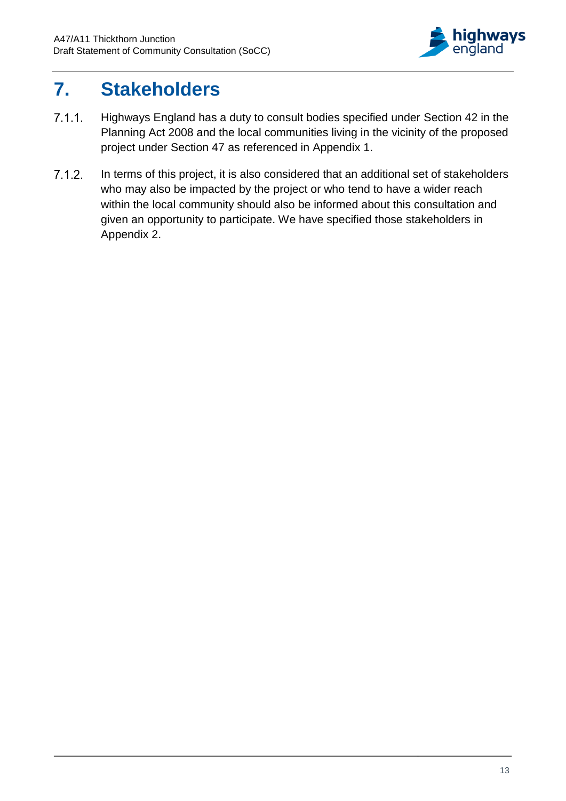

## <span id="page-14-0"></span>**7. Stakeholders**

- $7.1.1.$ Highways England has a duty to consult bodies specified under Section 42 in the Planning Act 2008 and the local communities living in the vicinity of the proposed project under Section 47 as referenced in Appendix 1.
- $7.1.2.$ In terms of this project, it is also considered that an additional set of stakeholders who may also be impacted by the project or who tend to have a wider reach within the local community should also be informed about this consultation and given an opportunity to participate. We have specified those stakeholders in Appendix 2.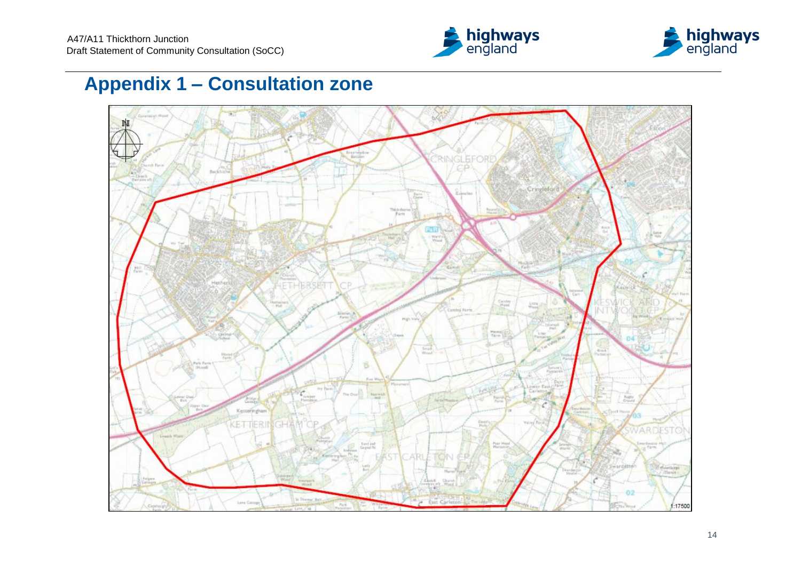



## **Appendix 1 – Consultation zone**

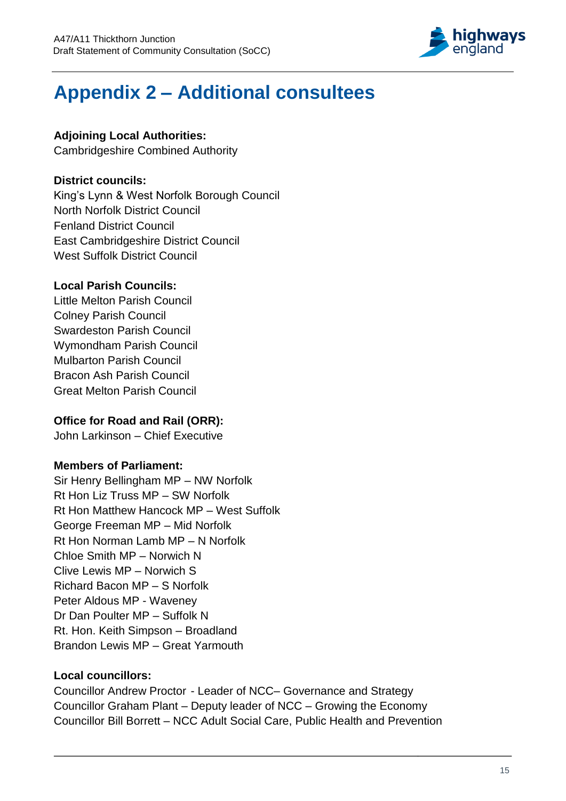

## **Appendix 2 – Additional consultees**

### **Adjoining Local Authorities:**

Cambridgeshire Combined Authority

### **District councils:**

King's Lynn & West Norfolk Borough Council North Norfolk District Council Fenland District Council East Cambridgeshire District Council West Suffolk District Council

### **Local Parish Councils:**

Little Melton Parish Council Colney Parish Council Swardeston Parish Council Wymondham Parish Council Mulbarton Parish Council Bracon Ash Parish Council Great Melton Parish Council

## **Office for Road and Rail (ORR):**

John Larkinson – Chief Executive

## **Members of Parliament:**

Sir Henry Bellingham MP – NW Norfolk Rt Hon Liz Truss MP – SW Norfolk Rt Hon Matthew Hancock MP – West Suffolk George Freeman MP – Mid Norfolk Rt Hon Norman Lamb MP – N Norfolk Chloe Smith MP – Norwich N Clive Lewis MP – Norwich S Richard Bacon MP – S Norfolk Peter Aldous MP - Waveney Dr Dan Poulter MP – Suffolk N Rt. Hon. Keith Simpson – Broadland Brandon Lewis MP – Great Yarmouth

## **Local councillors:**

Councillor Andrew Proctor - Leader of NCC– Governance and Strategy Councillor Graham Plant – Deputy leader of NCC – Growing the Economy Councillor Bill Borrett – NCC Adult Social Care, Public Health and Prevention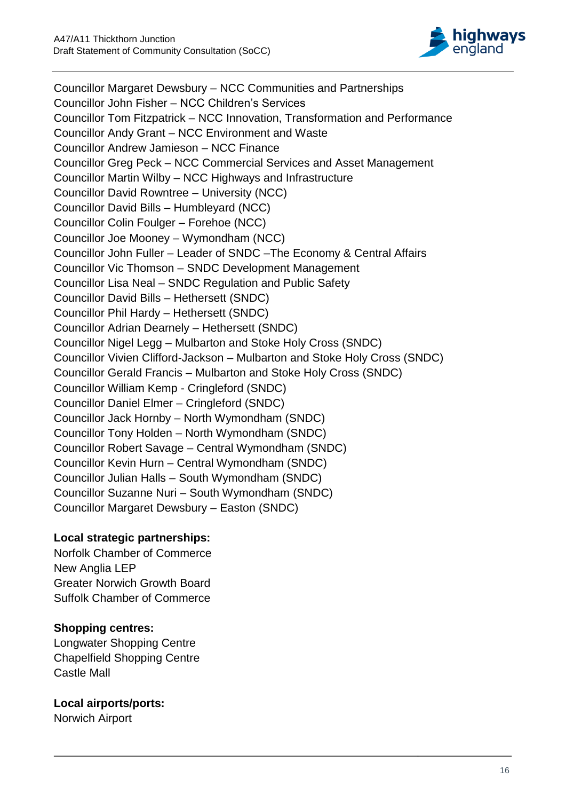

Councillor Margaret Dewsbury – NCC Communities and Partnerships Councillor John Fisher – NCC Children's Services Councillor Tom Fitzpatrick – NCC Innovation, Transformation and Performance Councillor Andy Grant – NCC Environment and Waste Councillor Andrew Jamieson – NCC Finance Councillor Greg Peck – NCC Commercial Services and Asset Management Councillor Martin Wilby – NCC Highways and Infrastructure Councillor David Rowntree – University (NCC) Councillor David Bills – Humbleyard (NCC) Councillor Colin Foulger – Forehoe (NCC) Councillor Joe Mooney – Wymondham (NCC) Councillor John Fuller – Leader of SNDC –The Economy & Central Affairs Councillor Vic Thomson – SNDC Development Management Councillor Lisa Neal – SNDC Regulation and Public Safety Councillor David Bills – Hethersett (SNDC) Councillor Phil Hardy – Hethersett (SNDC) Councillor Adrian Dearnely – Hethersett (SNDC) Councillor Nigel Legg – Mulbarton and Stoke Holy Cross (SNDC) Councillor Vivien Clifford-Jackson – Mulbarton and Stoke Holy Cross (SNDC) Councillor Gerald Francis – Mulbarton and Stoke Holy Cross (SNDC) Councillor William Kemp - Cringleford (SNDC) Councillor Daniel Elmer – Cringleford (SNDC) Councillor Jack Hornby – North Wymondham (SNDC) Councillor Tony Holden – North Wymondham (SNDC) Councillor Robert Savage – Central Wymondham (SNDC) Councillor Kevin Hurn – Central Wymondham (SNDC) Councillor Julian Halls – South Wymondham (SNDC) Councillor Suzanne Nuri – South Wymondham (SNDC) Councillor Margaret Dewsbury – Easton (SNDC)

### **Local strategic partnerships:**

Norfolk Chamber of Commerce New Anglia LEP Greater Norwich Growth Board Suffolk Chamber of Commerce

## **Shopping centres:**

Longwater Shopping Centre Chapelfield Shopping Centre Castle Mall

## **Local airports/ports:**

Norwich Airport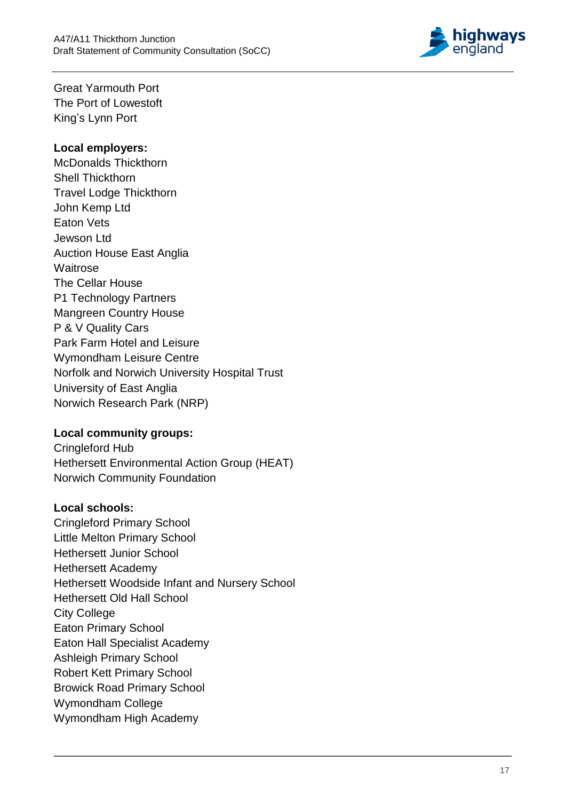

Great Yarmouth Port The Port of Lowestoft King 's Lynn Port

### **Local employers:**

McDonalds Thickthorn Shell Thickthorn Travel Lodge Thickthorn John Kemp Ltd Eaton Vets Jewson Ltd Auction House East Anglia **Waitrose** The Cellar House P1 Technology Partners Mangreen Country House P & V Quality Cars Park Farm Hotel and Leisure Wymondham Leisure Centre Norfolk and Norwich University Hospital Trust University of East Anglia Norwich Research Park (NRP)

### **Local community groups:**

Cringleford Hub Hethersett Environmental Action Group (HEAT) Norwich Community Foundation

### **Local schools:**

Cringleford Primary School Little Melton Primary School Hethersett Junior School Hethersett Academy Hethersett Woodside Infant and Nursery School Hethersett Old Hall School City College Eaton Primary School Eaton Hall Specialist Academy Ashleigh Primary School Robert Kett Primary School Browick Road Primary School Wymondham College Wymondham High Academy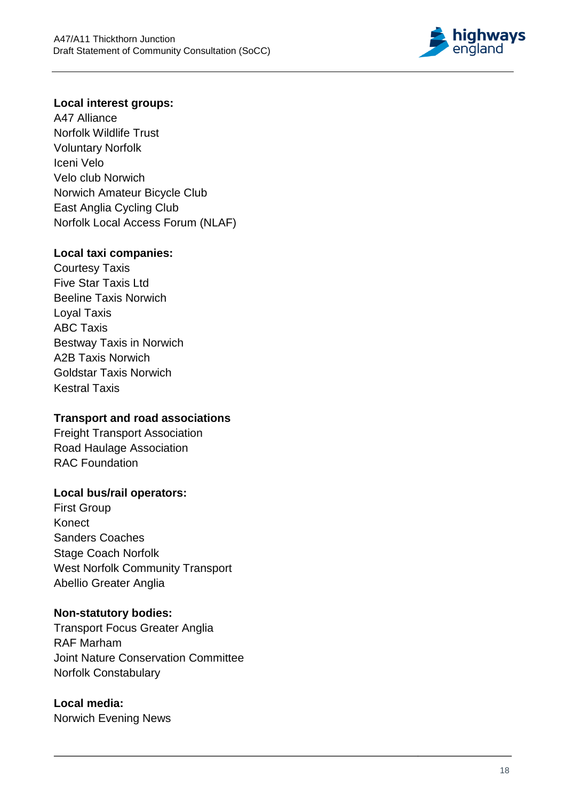

#### **Local interest groups:**

A47 Alliance Norfolk Wildlife Trust Voluntary Norfolk Iceni Velo Velo club Norwich Norwich Amateur Bicycle Club East Anglia Cycling Club Norfolk Local Acces s Forum (NLAF)

#### **Local taxi companies:**

Courtesy Taxis Five Star Taxis Ltd Beeline Taxis Norwich Loyal Taxis ABC Taxis Bestway Taxis in Norwich A2B Taxis Norwich Goldstar Taxis Norwich Kestral Taxis

#### **Transport and road associations**

Freight Transport Association Road Haulage Association RAC Foundation

#### **Local bus/ rail operators:**

First Group Konect Sanders Coaches Stage Coach Norfolk West Norfolk Community Transport Abellio Greater Anglia

#### **Non - statutory bodies:**

Transport Focus Greater Anglia RAF Marham Joint Nature Conservation Committee Norfolk Constabulary

## **Local media:**

Norwich Evening News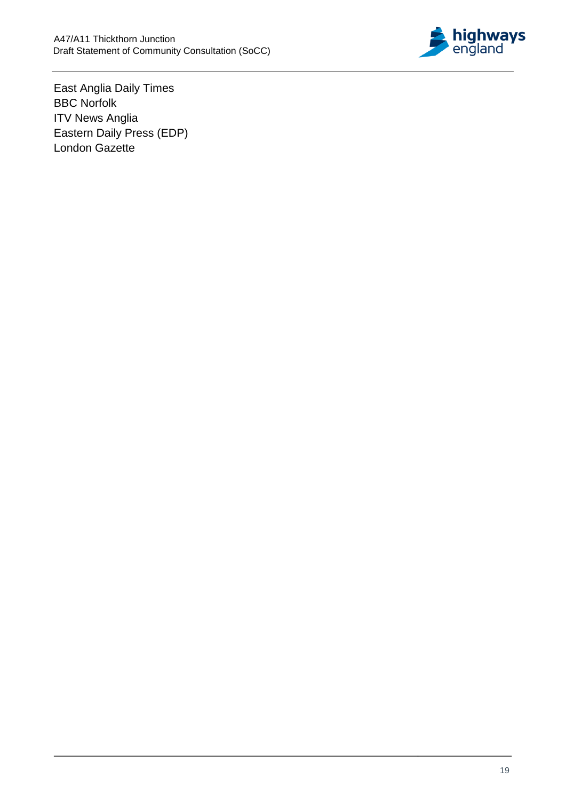

East Anglia Daily Times BBC Norfolk **ITV News Anglia** Eastern Daily Press (EDP) London Gazette